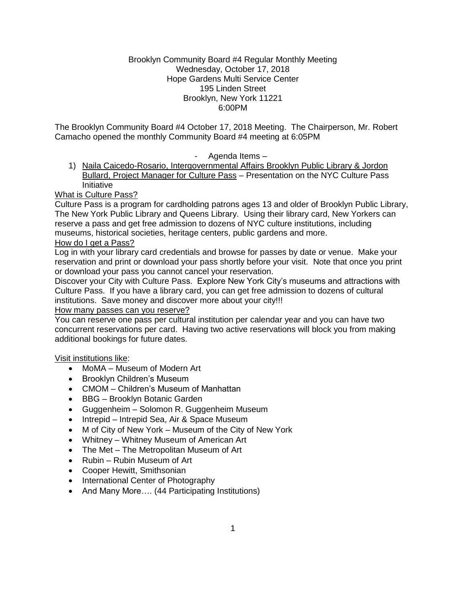## Brooklyn Community Board #4 Regular Monthly Meeting Wednesday, October 17, 2018 Hope Gardens Multi Service Center 195 Linden Street Brooklyn, New York 11221 6:00PM

The Brooklyn Community Board #4 October 17, 2018 Meeting. The Chairperson, Mr. Robert Camacho opened the monthly Community Board #4 meeting at 6:05PM

- Agenda Items –

1) Naila Caicedo-Rosario, Intergovernmental Affairs Brooklyn Public Library & Jordon Bullard, Project Manager for Culture Pass – Presentation on the NYC Culture Pass Initiative

What is Culture Pass?

Culture Pass is a program for cardholding patrons ages 13 and older of Brooklyn Public Library, The New York Public Library and Queens Library. Using their library card, New Yorkers can reserve a pass and get free admission to dozens of NYC culture institutions, including museums, historical societies, heritage centers, public gardens and more.

# How do I get a Pass?

Log in with your library card credentials and browse for passes by date or venue. Make your reservation and print or download your pass shortly before your visit. Note that once you print or download your pass you cannot cancel your reservation.

Discover your City with Culture Pass. Explore New York City's museums and attractions with Culture Pass. If you have a library card, you can get free admission to dozens of cultural institutions. Save money and discover more about your city!!!

# How many passes can you reserve?

You can reserve one pass per cultural institution per calendar year and you can have two concurrent reservations per card. Having two active reservations will block you from making additional bookings for future dates.

# Visit institutions like:

- MoMA Museum of Modern Art
- Brooklyn Children's Museum
- CMOM Children's Museum of Manhattan
- BBG Brooklyn Botanic Garden
- Guggenheim Solomon R. Guggenheim Museum
- Intrepid Intrepid Sea, Air & Space Museum
- M of City of New York Museum of the City of New York
- Whitney Whitney Museum of American Art
- The Met The Metropolitan Museum of Art
- Rubin Rubin Museum of Art
- Cooper Hewitt, Smithsonian
- International Center of Photography
- And Many More.... (44 Participating Institutions)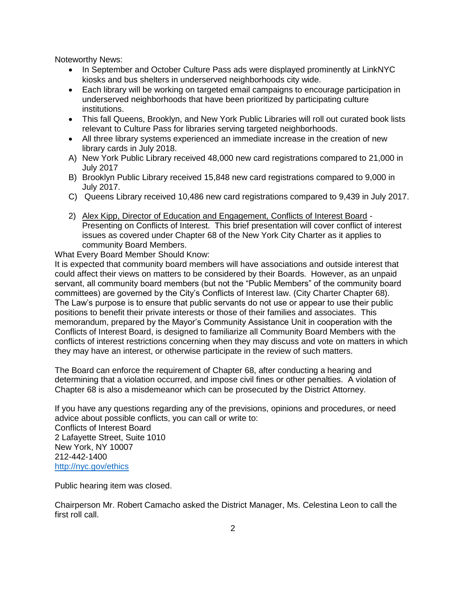Noteworthy News:

- In September and October Culture Pass ads were displayed prominently at LinkNYC kiosks and bus shelters in underserved neighborhoods city wide.
- Each library will be working on targeted email campaigns to encourage participation in underserved neighborhoods that have been prioritized by participating culture institutions.
- This fall Queens, Brooklyn, and New York Public Libraries will roll out curated book lists relevant to Culture Pass for libraries serving targeted neighborhoods.
- All three library systems experienced an immediate increase in the creation of new library cards in July 2018.
- A) New York Public Library received 48,000 new card registrations compared to 21,000 in July 2017
- B) Brooklyn Public Library received 15,848 new card registrations compared to 9,000 in July 2017.
- C) Queens Library received 10,486 new card registrations compared to 9,439 in July 2017.
- 2) Alex Kipp, Director of Education and Engagement, Conflicts of Interest Board Presenting on Conflicts of Interest. This brief presentation will cover conflict of interest issues as covered under Chapter 68 of the New York City Charter as it applies to community Board Members.

What Every Board Member Should Know:

It is expected that community board members will have associations and outside interest that could affect their views on matters to be considered by their Boards. However, as an unpaid servant, all community board members (but not the "Public Members" of the community board committees) are governed by the City's Conflicts of Interest law. (City Charter Chapter 68). The Law's purpose is to ensure that public servants do not use or appear to use their public positions to benefit their private interests or those of their families and associates. This memorandum, prepared by the Mayor's Community Assistance Unit in cooperation with the Conflicts of Interest Board, is designed to familiarize all Community Board Members with the conflicts of interest restrictions concerning when they may discuss and vote on matters in which they may have an interest, or otherwise participate in the review of such matters.

The Board can enforce the requirement of Chapter 68, after conducting a hearing and determining that a violation occurred, and impose civil fines or other penalties. A violation of Chapter 68 is also a misdemeanor which can be prosecuted by the District Attorney.

If you have any questions regarding any of the previsions, opinions and procedures, or need advice about possible conflicts, you can call or write to: Conflicts of Interest Board 2 Lafayette Street, Suite 1010 New York, NY 10007 212-442-1400 <http://nyc.gov/ethics>

Public hearing item was closed.

Chairperson Mr. Robert Camacho asked the District Manager, Ms. Celestina Leon to call the first roll call.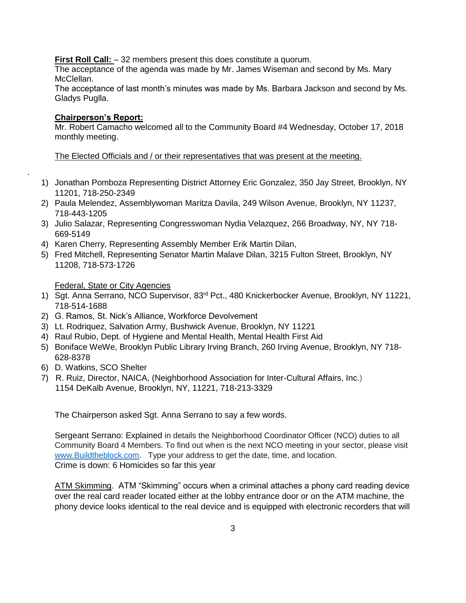**First Roll Call:**  $-32$  members present this does constitute a quorum.

The acceptance of the agenda was made by Mr. James Wiseman and second by Ms. Mary McClellan.

The acceptance of last month's minutes was made by Ms. Barbara Jackson and second by Ms. Gladys Puglla.

## **Chairperson's Report:**

.

Mr. Robert Camacho welcomed all to the Community Board #4 Wednesday, October 17, 2018 monthly meeting.

The Elected Officials and / or their representatives that was present at the meeting.

- 1) Jonathan Pomboza Representing District Attorney Eric Gonzalez, 350 Jay Street, Brooklyn, NY 11201, 718-250-2349
- 2) Paula Melendez, Assemblywoman Maritza Davila, 249 Wilson Avenue, Brooklyn, NY 11237, 718-443-1205
- 3) Julio Salazar, Representing Congresswoman Nydia Velazquez, 266 Broadway, NY, NY 718- 669-5149
- 4) Karen Cherry, Representing Assembly Member Erik Martin Dilan,
- 5) Fred Mitchell, Representing Senator Martin Malave Dilan, 3215 Fulton Street, Brooklyn, NY 11208, 718-573-1726

Federal, State or City Agencies

- 1) Sgt. Anna Serrano, NCO Supervisor, 83<sup>rd</sup> Pct., 480 Knickerbocker Avenue, Brooklyn, NY 11221, 718-514-1688
- 2) G. Ramos, St. Nick's Alliance, Workforce Devolvement
- 3) Lt. Rodriquez, Salvation Army, Bushwick Avenue, Brooklyn, NY 11221
- 4) Raul Rubio, Dept. of Hygiene and Mental Health, Mental Health First Aid
- 5) Boniface WeWe, Brooklyn Public Library Irving Branch, 260 Irving Avenue, Brooklyn, NY 718- 628-8378
- 6) D. Watkins, SCO Shelter
- 7) R. Ruiz, Director, NAICA, (Neighborhood Association for Inter-Cultural Affairs, Inc.) 1154 DeKalb Avenue, Brooklyn, NY, 11221, 718-213-3329

The Chairperson asked Sgt. Anna Serrano to say a few words.

Sergeant Serrano: Explained in details the Neighborhood Coordinator Officer (NCO) duties to all Community Board 4 Members. To find out when is the next NCO meeting in your sector, please visit [www.Buildtheblock.com.](http://www.buildtheblock.com/) Type your address to get the date, time, and location. Crime is down: 6 Homicides so far this year

ATM Skimming. ATM "Skimming" occurs when a criminal attaches a phony card reading device over the real card reader located either at the lobby entrance door or on the ATM machine, the phony device looks identical to the real device and is equipped with electronic recorders that will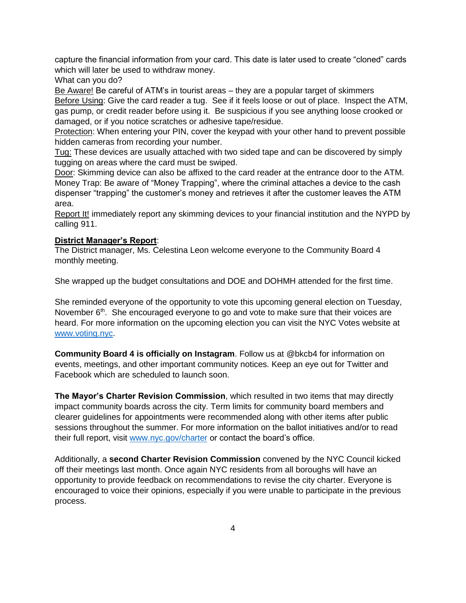capture the financial information from your card. This date is later used to create "cloned" cards which will later be used to withdraw money.

What can you do?

Be Aware! Be careful of ATM's in tourist areas – they are a popular target of skimmers Before Using: Give the card reader a tug. See if it feels loose or out of place. Inspect the ATM, gas pump, or credit reader before using it. Be suspicious if you see anything loose crooked or damaged, or if you notice scratches or adhesive tape/residue.

Protection: When entering your PIN, cover the keypad with your other hand to prevent possible hidden cameras from recording your number.

Tug: These devices are usually attached with two sided tape and can be discovered by simply tugging on areas where the card must be swiped.

Door: Skimming device can also be affixed to the card reader at the entrance door to the ATM. Money Trap: Be aware of "Money Trapping", where the criminal attaches a device to the cash dispenser "trapping" the customer's money and retrieves it after the customer leaves the ATM area.

Report It! immediately report any skimming devices to your financial institution and the NYPD by calling 911.

# **District Manager's Report**:

The District manager, Ms. Celestina Leon welcome everyone to the Community Board 4 monthly meeting.

She wrapped up the budget consultations and DOE and DOHMH attended for the first time.

She reminded everyone of the opportunity to vote this upcoming general election on Tuesday, November 6<sup>th</sup>. She encouraged everyone to go and vote to make sure that their voices are heard. For more information on the upcoming election you can visit the NYC Votes website at [www.voting.nyc.](http://www.voting.nyc/)

**Community Board 4 is officially on Instagram**. Follow us at @bkcb4 for information on events, meetings, and other important community notices. Keep an eye out for Twitter and Facebook which are scheduled to launch soon.

**The Mayor's Charter Revision Commission**, which resulted in two items that may directly impact community boards across the city. Term limits for community board members and clearer guidelines for appointments were recommended along with other items after public sessions throughout the summer. For more information on the ballot initiatives and/or to read their full report, visit [www.nyc.gov/charter](http://www.nyc.gov/charter) or contact the board's office.

Additionally, a **second Charter Revision Commission** convened by the NYC Council kicked off their meetings last month. Once again NYC residents from all boroughs will have an opportunity to provide feedback on recommendations to revise the city charter. Everyone is encouraged to voice their opinions, especially if you were unable to participate in the previous process.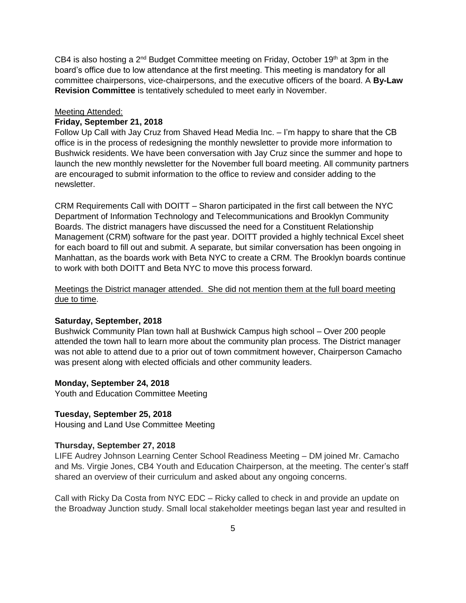CB4 is also hosting a  $2^{nd}$  Budget Committee meeting on Friday, October 19<sup>th</sup> at 3pm in the board's office due to low attendance at the first meeting. This meeting is mandatory for all committee chairpersons, vice-chairpersons, and the executive officers of the board. A **By-Law Revision Committee** is tentatively scheduled to meet early in November.

#### Meeting Attended:

# **Friday, September 21, 2018**

Follow Up Call with Jay Cruz from Shaved Head Media Inc. – I'm happy to share that the CB office is in the process of redesigning the monthly newsletter to provide more information to Bushwick residents. We have been conversation with Jay Cruz since the summer and hope to launch the new monthly newsletter for the November full board meeting. All community partners are encouraged to submit information to the office to review and consider adding to the newsletter.

CRM Requirements Call with DOITT – Sharon participated in the first call between the NYC Department of Information Technology and Telecommunications and Brooklyn Community Boards. The district managers have discussed the need for a Constituent Relationship Management (CRM) software for the past year. DOITT provided a highly technical Excel sheet for each board to fill out and submit. A separate, but similar conversation has been ongoing in Manhattan, as the boards work with Beta NYC to create a CRM. The Brooklyn boards continue to work with both DOITT and Beta NYC to move this process forward.

# Meetings the District manager attended. She did not mention them at the full board meeting due to time.

#### **Saturday, September, 2018**

Bushwick Community Plan town hall at Bushwick Campus high school – Over 200 people attended the town hall to learn more about the community plan process. The District manager was not able to attend due to a prior out of town commitment however, Chairperson Camacho was present along with elected officials and other community leaders.

#### **Monday, September 24, 2018**

Youth and Education Committee Meeting

### **Tuesday, September 25, 2018**

Housing and Land Use Committee Meeting

#### **Thursday, September 27, 2018**

LIFE Audrey Johnson Learning Center School Readiness Meeting – DM joined Mr. Camacho and Ms. Virgie Jones, CB4 Youth and Education Chairperson, at the meeting. The center's staff shared an overview of their curriculum and asked about any ongoing concerns.

Call with Ricky Da Costa from NYC EDC – Ricky called to check in and provide an update on the Broadway Junction study. Small local stakeholder meetings began last year and resulted in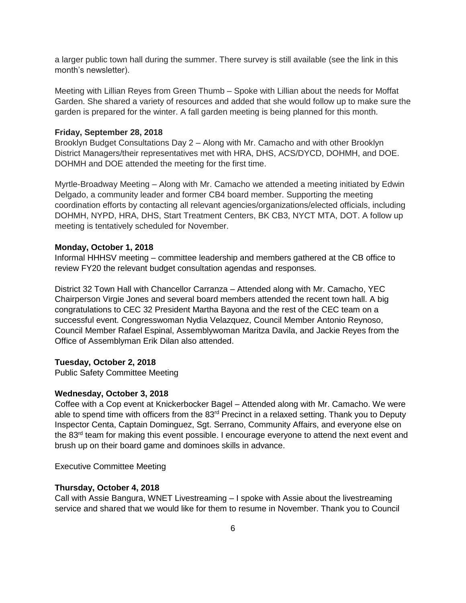a larger public town hall during the summer. There survey is still available (see the link in this month's newsletter).

Meeting with Lillian Reyes from Green Thumb – Spoke with Lillian about the needs for Moffat Garden. She shared a variety of resources and added that she would follow up to make sure the garden is prepared for the winter. A fall garden meeting is being planned for this month.

#### **Friday, September 28, 2018**

Brooklyn Budget Consultations Day 2 – Along with Mr. Camacho and with other Brooklyn District Managers/their representatives met with HRA, DHS, ACS/DYCD, DOHMH, and DOE. DOHMH and DOE attended the meeting for the first time.

Myrtle-Broadway Meeting – Along with Mr. Camacho we attended a meeting initiated by Edwin Delgado, a community leader and former CB4 board member. Supporting the meeting coordination efforts by contacting all relevant agencies/organizations/elected officials, including DOHMH, NYPD, HRA, DHS, Start Treatment Centers, BK CB3, NYCT MTA, DOT. A follow up meeting is tentatively scheduled for November.

#### **Monday, October 1, 2018**

Informal HHHSV meeting – committee leadership and members gathered at the CB office to review FY20 the relevant budget consultation agendas and responses.

District 32 Town Hall with Chancellor Carranza – Attended along with Mr. Camacho, YEC Chairperson Virgie Jones and several board members attended the recent town hall. A big congratulations to CEC 32 President Martha Bayona and the rest of the CEC team on a successful event. Congresswoman Nydia Velazquez, Council Member Antonio Reynoso, Council Member Rafael Espinal, Assemblywoman Maritza Davila, and Jackie Reyes from the Office of Assemblyman Erik Dilan also attended.

#### **Tuesday, October 2, 2018**

Public Safety Committee Meeting

#### **Wednesday, October 3, 2018**

Coffee with a Cop event at Knickerbocker Bagel – Attended along with Mr. Camacho. We were able to spend time with officers from the 83<sup>rd</sup> Precinct in a relaxed setting. Thank you to Deputy Inspector Centa, Captain Dominguez, Sgt. Serrano, Community Affairs, and everyone else on the 83<sup>rd</sup> team for making this event possible. I encourage everyone to attend the next event and brush up on their board game and dominoes skills in advance.

Executive Committee Meeting

#### **Thursday, October 4, 2018**

Call with Assie Bangura, WNET Livestreaming – I spoke with Assie about the livestreaming service and shared that we would like for them to resume in November. Thank you to Council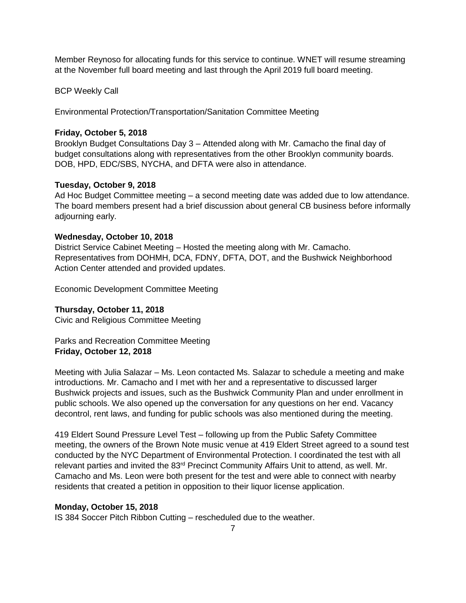Member Reynoso for allocating funds for this service to continue. WNET will resume streaming at the November full board meeting and last through the April 2019 full board meeting.

BCP Weekly Call

Environmental Protection/Transportation/Sanitation Committee Meeting

# **Friday, October 5, 2018**

Brooklyn Budget Consultations Day 3 – Attended along with Mr. Camacho the final day of budget consultations along with representatives from the other Brooklyn community boards. DOB, HPD, EDC/SBS, NYCHA, and DFTA were also in attendance.

## **Tuesday, October 9, 2018**

Ad Hoc Budget Committee meeting – a second meeting date was added due to low attendance. The board members present had a brief discussion about general CB business before informally adjourning early.

## **Wednesday, October 10, 2018**

District Service Cabinet Meeting – Hosted the meeting along with Mr. Camacho. Representatives from DOHMH, DCA, FDNY, DFTA, DOT, and the Bushwick Neighborhood Action Center attended and provided updates.

Economic Development Committee Meeting

# **Thursday, October 11, 2018**

Civic and Religious Committee Meeting

Parks and Recreation Committee Meeting **Friday, October 12, 2018**

Meeting with Julia Salazar – Ms. Leon contacted Ms. Salazar to schedule a meeting and make introductions. Mr. Camacho and I met with her and a representative to discussed larger Bushwick projects and issues, such as the Bushwick Community Plan and under enrollment in public schools. We also opened up the conversation for any questions on her end. Vacancy decontrol, rent laws, and funding for public schools was also mentioned during the meeting.

419 Eldert Sound Pressure Level Test – following up from the Public Safety Committee meeting, the owners of the Brown Note music venue at 419 Eldert Street agreed to a sound test conducted by the NYC Department of Environmental Protection. I coordinated the test with all relevant parties and invited the 83<sup>rd</sup> Precinct Community Affairs Unit to attend, as well. Mr. Camacho and Ms. Leon were both present for the test and were able to connect with nearby residents that created a petition in opposition to their liquor license application.

# **Monday, October 15, 2018**

IS 384 Soccer Pitch Ribbon Cutting – rescheduled due to the weather.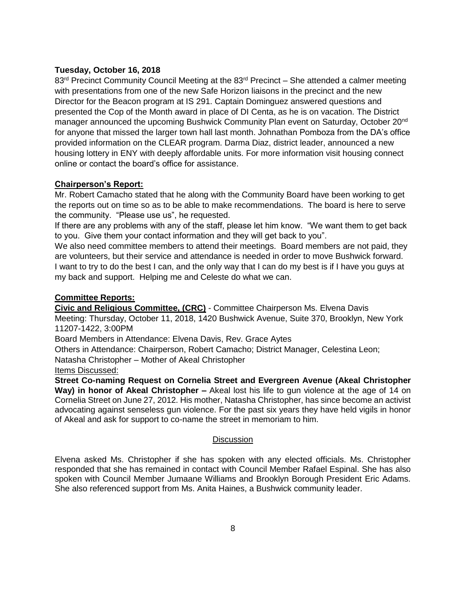### **Tuesday, October 16, 2018**

 $83<sup>rd</sup>$  Precinct Community Council Meeting at the  $83<sup>rd</sup>$  Precinct – She attended a calmer meeting with presentations from one of the new Safe Horizon liaisons in the precinct and the new Director for the Beacon program at IS 291. Captain Dominguez answered questions and presented the Cop of the Month award in place of DI Centa, as he is on vacation. The District manager announced the upcoming Bushwick Community Plan event on Saturday, October 20<sup>nd</sup> for anyone that missed the larger town hall last month. Johnathan Pomboza from the DA's office provided information on the CLEAR program. Darma Diaz, district leader, announced a new housing lottery in ENY with deeply affordable units. For more information visit housing connect online or contact the board's office for assistance.

# **Chairperson's Report:**

Mr. Robert Camacho stated that he along with the Community Board have been working to get the reports out on time so as to be able to make recommendations. The board is here to serve the community. "Please use us", he requested.

If there are any problems with any of the staff, please let him know. "We want them to get back to you. Give them your contact information and they will get back to you".

We also need committee members to attend their meetings. Board members are not paid, they are volunteers, but their service and attendance is needed in order to move Bushwick forward. I want to try to do the best I can, and the only way that I can do my best is if I have you guys at my back and support. Helping me and Celeste do what we can.

## **Committee Reports:**

**Civic and Religious Committee, (CRC)** - Committee Chairperson Ms. Elvena Davis

Meeting: Thursday, October 11, 2018, 1420 Bushwick Avenue, Suite 370, Brooklyn, New York 11207-1422, 3:00PM

Board Members in Attendance: Elvena Davis, Rev. Grace Aytes

Others in Attendance: Chairperson, Robert Camacho; District Manager, Celestina Leon;

Natasha Christopher – Mother of Akeal Christopher

### Items Discussed:

**Street Co-naming Request on Cornelia Street and Evergreen Avenue (Akeal Christopher Way) in honor of Akeal Christopher –** Akeal lost his life to gun violence at the age of 14 on Cornelia Street on June 27, 2012. His mother, Natasha Christopher, has since become an activist advocating against senseless gun violence. For the past six years they have held vigils in honor of Akeal and ask for support to co-name the street in memoriam to him.

# **Discussion**

Elvena asked Ms. Christopher if she has spoken with any elected officials. Ms. Christopher responded that she has remained in contact with Council Member Rafael Espinal. She has also spoken with Council Member Jumaane Williams and Brooklyn Borough President Eric Adams. She also referenced support from Ms. Anita Haines, a Bushwick community leader.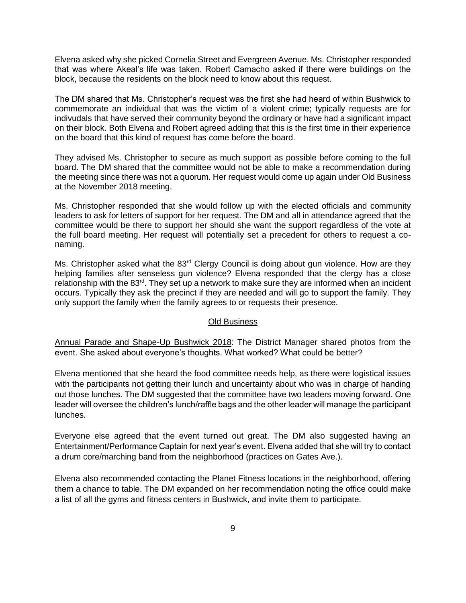Elvena asked why she picked Cornelia Street and Evergreen Avenue. Ms. Christopher responded that was where Akeal's life was taken. Robert Camacho asked if there were buildings on the block, because the residents on the block need to know about this request.

The DM shared that Ms. Christopher's request was the first she had heard of within Bushwick to commemorate an individual that was the victim of a violent crime; typically requests are for indivudals that have served their community beyond the ordinary or have had a significant impact on their block. Both Elvena and Robert agreed adding that this is the first time in their experience on the board that this kind of request has come before the board.

They advised Ms. Christopher to secure as much support as possible before coming to the full board. The DM shared that the committee would not be able to make a recommendation during the meeting since there was not a quorum. Her request would come up again under Old Business at the November 2018 meeting.

Ms. Christopher responded that she would follow up with the elected officials and community leaders to ask for letters of support for her request. The DM and all in attendance agreed that the committee would be there to support her should she want the support regardless of the vote at the full board meeting. Her request will potentially set a precedent for others to request a conaming.

Ms. Christopher asked what the 83<sup>rd</sup> Clergy Council is doing about gun violence. How are they helping families after senseless gun violence? Elvena responded that the clergy has a close relationship with the 83<sup>rd</sup>. They set up a network to make sure they are informed when an incident occurs. Typically they ask the precinct if they are needed and will go to support the family. They only support the family when the family agrees to or requests their presence.

#### Old Business

Annual Parade and Shape-Up Bushwick 2018: The District Manager shared photos from the event. She asked about everyone's thoughts. What worked? What could be better?

Elvena mentioned that she heard the food committee needs help, as there were logistical issues with the participants not getting their lunch and uncertainty about who was in charge of handing out those lunches. The DM suggested that the committee have two leaders moving forward. One leader will oversee the children's lunch/raffle bags and the other leader will manage the participant lunches.

Everyone else agreed that the event turned out great. The DM also suggested having an Entertainment/Performance Captain for next year's event. Elvena added that she will try to contact a drum core/marching band from the neighborhood (practices on Gates Ave.).

Elvena also recommended contacting the Planet Fitness locations in the neighborhood, offering them a chance to table. The DM expanded on her recommendation noting the office could make a list of all the gyms and fitness centers in Bushwick, and invite them to participate.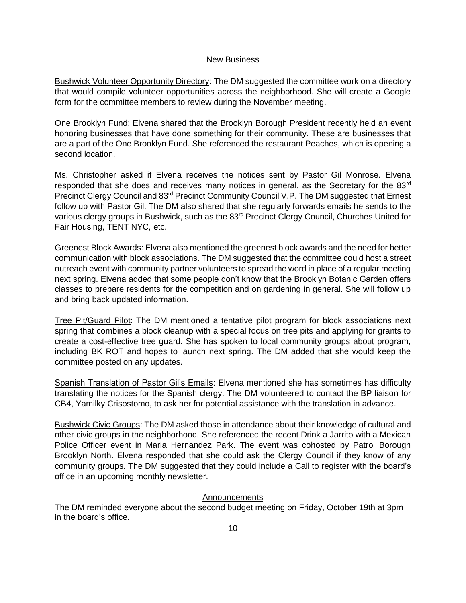#### New Business

Bushwick Volunteer Opportunity Directory: The DM suggested the committee work on a directory that would compile volunteer opportunities across the neighborhood. She will create a Google form for the committee members to review during the November meeting.

One Brooklyn Fund: Elvena shared that the Brooklyn Borough President recently held an event honoring businesses that have done something for their community. These are businesses that are a part of the One Brooklyn Fund. She referenced the restaurant Peaches, which is opening a second location.

Ms. Christopher asked if Elvena receives the notices sent by Pastor Gil Monrose. Elvena responded that she does and receives many notices in general, as the Secretary for the 83<sup>rd</sup> Precinct Clergy Council and 83<sup>rd</sup> Precinct Community Council V.P. The DM suggested that Ernest follow up with Pastor Gil. The DM also shared that she regularly forwards emails he sends to the various clergy groups in Bushwick, such as the 83rd Precinct Clergy Council, Churches United for Fair Housing, TENT NYC, etc.

Greenest Block Awards: Elvena also mentioned the greenest block awards and the need for better communication with block associations. The DM suggested that the committee could host a street outreach event with community partner volunteers to spread the word in place of a regular meeting next spring. Elvena added that some people don't know that the Brooklyn Botanic Garden offers classes to prepare residents for the competition and on gardening in general. She will follow up and bring back updated information.

Tree Pit/Guard Pilot: The DM mentioned a tentative pilot program for block associations next spring that combines a block cleanup with a special focus on tree pits and applying for grants to create a cost-effective tree guard. She has spoken to local community groups about program, including BK ROT and hopes to launch next spring. The DM added that she would keep the committee posted on any updates.

Spanish Translation of Pastor Gil's Emails: Elvena mentioned she has sometimes has difficulty translating the notices for the Spanish clergy. The DM volunteered to contact the BP liaison for CB4, Yamilky Crisostomo, to ask her for potential assistance with the translation in advance.

Bushwick Civic Groups: The DM asked those in attendance about their knowledge of cultural and other civic groups in the neighborhood. She referenced the recent Drink a Jarrito with a Mexican Police Officer event in Maria Hernandez Park. The event was cohosted by Patrol Borough Brooklyn North. Elvena responded that she could ask the Clergy Council if they know of any community groups. The DM suggested that they could include a Call to register with the board's office in an upcoming monthly newsletter.

### Announcements

The DM reminded everyone about the second budget meeting on Friday, October 19th at 3pm in the board's office.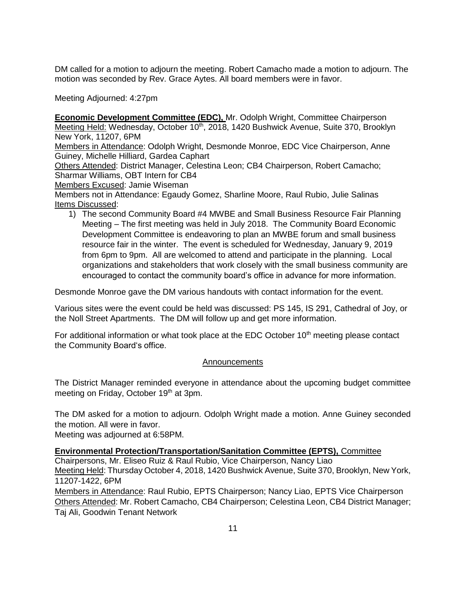DM called for a motion to adjourn the meeting. Robert Camacho made a motion to adjourn. The motion was seconded by Rev. Grace Aytes. All board members were in favor.

Meeting Adjourned: 4:27pm

**Economic Development Committee (EDC),** Mr. Odolph Wright, Committee Chairperson Meeting Held: Wednesday, October 10<sup>th</sup>, 2018, 1420 Bushwick Avenue, Suite 370, Brooklyn New York, 11207, 6PM

Members in Attendance: Odolph Wright, Desmonde Monroe, EDC Vice Chairperson, Anne Guiney, Michelle Hilliard, Gardea Caphart

Others Attended: District Manager, Celestina Leon; CB4 Chairperson, Robert Camacho; Sharmar Williams, OBT Intern for CB4

Members Excused: Jamie Wiseman

Members not in Attendance: Egaudy Gomez, Sharline Moore, Raul Rubio, Julie Salinas Items Discussed:

1) The second Community Board #4 MWBE and Small Business Resource Fair Planning Meeting – The first meeting was held in July 2018. The Community Board Economic Development Committee is endeavoring to plan an MWBE forum and small business resource fair in the winter. The event is scheduled for Wednesday, January 9, 2019 from 6pm to 9pm. All are welcomed to attend and participate in the planning. Local organizations and stakeholders that work closely with the small business community are encouraged to contact the community board's office in advance for more information.

Desmonde Monroe gave the DM various handouts with contact information for the event.

Various sites were the event could be held was discussed: PS 145, IS 291, Cathedral of Joy, or the Noll Street Apartments. The DM will follow up and get more information.

For additional information or what took place at the EDC October 10<sup>th</sup> meeting please contact the Community Board's office.

### Announcements

The District Manager reminded everyone in attendance about the upcoming budget committee meeting on Friday, October 19<sup>th</sup> at 3pm.

The DM asked for a motion to adjourn. Odolph Wright made a motion. Anne Guiney seconded the motion. All were in favor.

Meeting was adjourned at 6:58PM.

### **Environmental Protection/Transportation/Sanitation Committee (EPTS),** Committee Chairpersons, Mr. Eliseo Ruiz & Raul Rubio, Vice Chairperson, Nancy Liao Meeting Held: Thursday October 4, 2018, 1420 Bushwick Avenue, Suite 370, Brooklyn, New York, 11207-1422, 6PM

Members in Attendance: Raul Rubio, EPTS Chairperson; Nancy Liao, EPTS Vice Chairperson Others Attended: Mr. Robert Camacho, CB4 Chairperson; Celestina Leon, CB4 District Manager; Taj Ali, Goodwin Tenant Network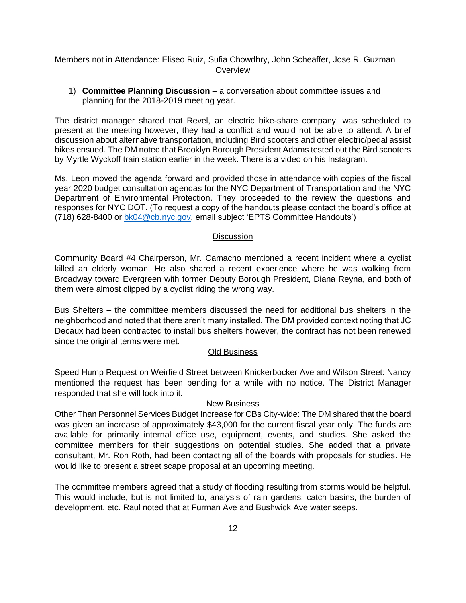### Members not in Attendance: Eliseo Ruiz, Sufia Chowdhry, John Scheaffer, Jose R. Guzman **Overview**

1) **Committee Planning Discussion** – a conversation about committee issues and planning for the 2018-2019 meeting year.

The district manager shared that Revel, an electric bike-share company, was scheduled to present at the meeting however, they had a conflict and would not be able to attend. A brief discussion about alternative transportation, including Bird scooters and other electric/pedal assist bikes ensued. The DM noted that Brooklyn Borough President Adams tested out the Bird scooters by Myrtle Wyckoff train station earlier in the week. There is a video on his Instagram.

Ms. Leon moved the agenda forward and provided those in attendance with copies of the fiscal year 2020 budget consultation agendas for the NYC Department of Transportation and the NYC Department of Environmental Protection. They proceeded to the review the questions and responses for NYC DOT. (To request a copy of the handouts please contact the board's office at (718) 628-8400 or [bk04@cb.nyc.gov,](mailto:bk04@cb.nyc.gov) email subject 'EPTS Committee Handouts')

### **Discussion**

Community Board #4 Chairperson, Mr. Camacho mentioned a recent incident where a cyclist killed an elderly woman. He also shared a recent experience where he was walking from Broadway toward Evergreen with former Deputy Borough President, Diana Reyna, and both of them were almost clipped by a cyclist riding the wrong way.

Bus Shelters – the committee members discussed the need for additional bus shelters in the neighborhood and noted that there aren't many installed. The DM provided context noting that JC Decaux had been contracted to install bus shelters however, the contract has not been renewed since the original terms were met.

### Old Business

Speed Hump Request on Weirfield Street between Knickerbocker Ave and Wilson Street: Nancy mentioned the request has been pending for a while with no notice. The District Manager responded that she will look into it.

### New Business

Other Than Personnel Services Budget Increase for CBs City-wide: The DM shared that the board was given an increase of approximately \$43,000 for the current fiscal year only. The funds are available for primarily internal office use, equipment, events, and studies. She asked the committee members for their suggestions on potential studies. She added that a private consultant, Mr. Ron Roth, had been contacting all of the boards with proposals for studies. He would like to present a street scape proposal at an upcoming meeting.

The committee members agreed that a study of flooding resulting from storms would be helpful. This would include, but is not limited to, analysis of rain gardens, catch basins, the burden of development, etc. Raul noted that at Furman Ave and Bushwick Ave water seeps.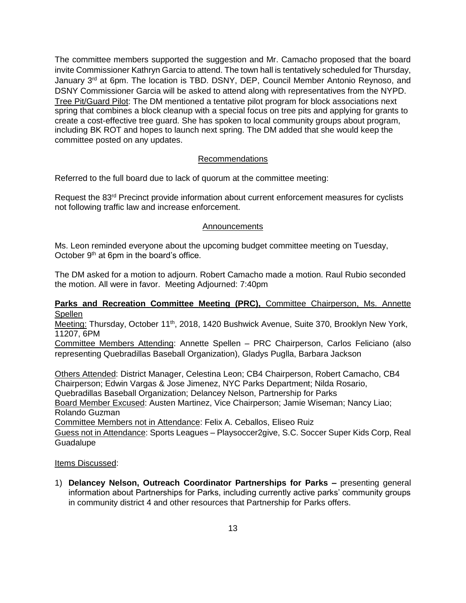The committee members supported the suggestion and Mr. Camacho proposed that the board invite Commissioner Kathryn Garcia to attend. The town hall is tentatively scheduled for Thursday, January 3<sup>rd</sup> at 6pm. The location is TBD. DSNY, DEP, Council Member Antonio Reynoso, and DSNY Commissioner Garcia will be asked to attend along with representatives from the NYPD. Tree Pit/Guard Pilot: The DM mentioned a tentative pilot program for block associations next spring that combines a block cleanup with a special focus on tree pits and applying for grants to create a cost-effective tree guard. She has spoken to local community groups about program, including BK ROT and hopes to launch next spring. The DM added that she would keep the committee posted on any updates.

## Recommendations

Referred to the full board due to lack of quorum at the committee meeting:

Request the 83<sup>rd</sup> Precinct provide information about current enforcement measures for cyclists not following traffic law and increase enforcement.

#### Announcements

Ms. Leon reminded everyone about the upcoming budget committee meeting on Tuesday, October  $9<sup>th</sup>$  at 6pm in the board's office.

The DM asked for a motion to adjourn. Robert Camacho made a motion. Raul Rubio seconded the motion. All were in favor. Meeting Adjourned: 7:40pm

### **Parks and Recreation Committee Meeting (PRC),** Committee Chairperson, Ms. Annette **Spellen**

Meeting: Thursday, October 11<sup>th</sup>, 2018, 1420 Bushwick Avenue, Suite 370, Brooklyn New York, 11207, 6PM

Committee Members Attending: Annette Spellen – PRC Chairperson, Carlos Feliciano (also representing Quebradillas Baseball Organization), Gladys Puglla, Barbara Jackson

Others Attended: District Manager, Celestina Leon; CB4 Chairperson, Robert Camacho, CB4 Chairperson; Edwin Vargas & Jose Jimenez, NYC Parks Department; Nilda Rosario, Quebradillas Baseball Organization; Delancey Nelson, Partnership for Parks Board Member Excused: Austen Martinez, Vice Chairperson; Jamie Wiseman; Nancy Liao; Rolando Guzman Committee Members not in Attendance: Felix A. Ceballos, Eliseo Ruiz

Guess not in Attendance: Sports Leagues – Playsoccer2give, S.C. Soccer Super Kids Corp, Real Guadalupe

### Items Discussed:

1) **Delancey Nelson, Outreach Coordinator Partnerships for Parks –** presenting general information about Partnerships for Parks, including currently active parks' community groups in community district 4 and other resources that Partnership for Parks offers.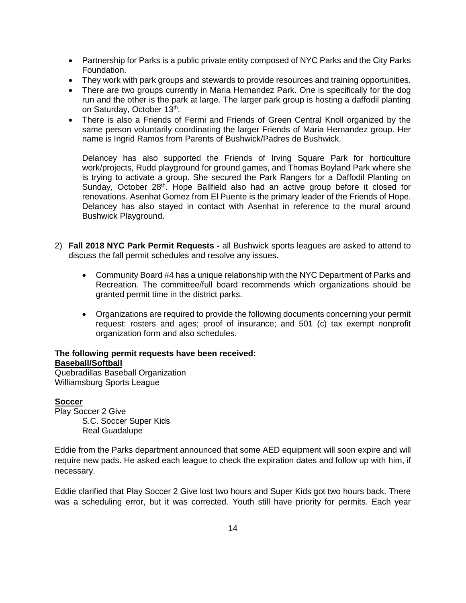- Partnership for Parks is a public private entity composed of NYC Parks and the City Parks Foundation.
- They work with park groups and stewards to provide resources and training opportunities.
- There are two groups currently in Maria Hernandez Park. One is specifically for the dog run and the other is the park at large. The larger park group is hosting a daffodil planting on Saturday, October 13<sup>th</sup>.
- There is also a Friends of Fermi and Friends of Green Central Knoll organized by the same person voluntarily coordinating the larger Friends of Maria Hernandez group. Her name is Ingrid Ramos from Parents of Bushwick/Padres de Bushwick.

Delancey has also supported the Friends of Irving Square Park for horticulture work/projects, Rudd playground for ground games, and Thomas Boyland Park where she is trying to activate a group. She secured the Park Rangers for a Daffodil Planting on Sunday, October  $28<sup>th</sup>$ . Hope Ballfield also had an active group before it closed for renovations. Asenhat Gomez from El Puente is the primary leader of the Friends of Hope. Delancey has also stayed in contact with Asenhat in reference to the mural around Bushwick Playground.

- 2) **Fall 2018 NYC Park Permit Requests -** all Bushwick sports leagues are asked to attend to discuss the fall permit schedules and resolve any issues.
	- Community Board #4 has a unique relationship with the NYC Department of Parks and Recreation. The committee/full board recommends which organizations should be granted permit time in the district parks.
	- Organizations are required to provide the following documents concerning your permit request: rosters and ages; proof of insurance; and 501 (c) tax exempt nonprofit organization form and also schedules.

### **The following permit requests have been received:**

**Baseball/Softball**

Quebradillas Baseball Organization Williamsburg Sports League

### **Soccer**

Play Soccer 2 Give S.C. Soccer Super Kids Real Guadalupe

Eddie from the Parks department announced that some AED equipment will soon expire and will require new pads. He asked each league to check the expiration dates and follow up with him, if necessary.

Eddie clarified that Play Soccer 2 Give lost two hours and Super Kids got two hours back. There was a scheduling error, but it was corrected. Youth still have priority for permits. Each year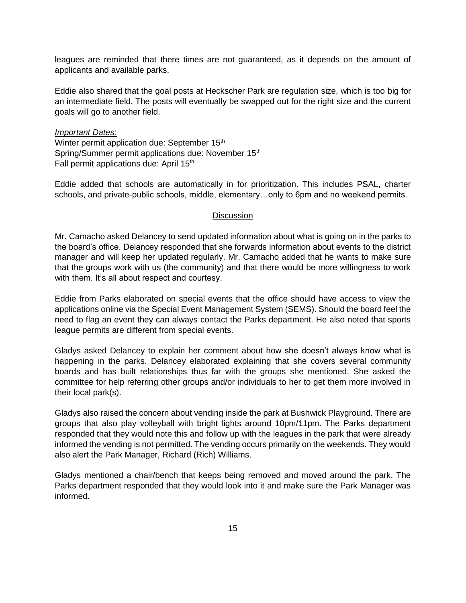leagues are reminded that there times are not guaranteed, as it depends on the amount of applicants and available parks.

Eddie also shared that the goal posts at Heckscher Park are regulation size, which is too big for an intermediate field. The posts will eventually be swapped out for the right size and the current goals will go to another field.

#### *Important Dates:*

Winter permit application due: September 15<sup>th</sup> Spring/Summer permit applications due: November 15<sup>th</sup> Fall permit applications due: April 15<sup>th</sup>

Eddie added that schools are automatically in for prioritization. This includes PSAL, charter schools, and private-public schools, middle, elementary…only to 6pm and no weekend permits.

#### **Discussion**

Mr. Camacho asked Delancey to send updated information about what is going on in the parks to the board's office. Delancey responded that she forwards information about events to the district manager and will keep her updated regularly. Mr. Camacho added that he wants to make sure that the groups work with us (the community) and that there would be more willingness to work with them. It's all about respect and courtesy.

Eddie from Parks elaborated on special events that the office should have access to view the applications online via the Special Event Management System (SEMS). Should the board feel the need to flag an event they can always contact the Parks department. He also noted that sports league permits are different from special events.

Gladys asked Delancey to explain her comment about how she doesn't always know what is happening in the parks. Delancey elaborated explaining that she covers several community boards and has built relationships thus far with the groups she mentioned. She asked the committee for help referring other groups and/or individuals to her to get them more involved in their local park(s).

Gladys also raised the concern about vending inside the park at Bushwick Playground. There are groups that also play volleyball with bright lights around 10pm/11pm. The Parks department responded that they would note this and follow up with the leagues in the park that were already informed the vending is not permitted. The vending occurs primarily on the weekends. They would also alert the Park Manager, Richard (Rich) Williams.

Gladys mentioned a chair/bench that keeps being removed and moved around the park. The Parks department responded that they would look into it and make sure the Park Manager was informed.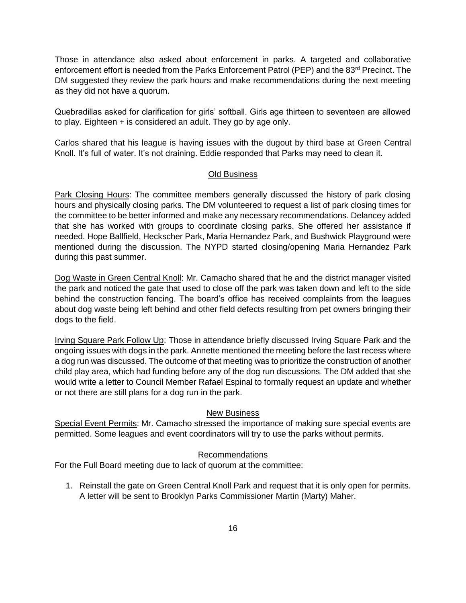Those in attendance also asked about enforcement in parks. A targeted and collaborative enforcement effort is needed from the Parks Enforcement Patrol (PEP) and the 83<sup>rd</sup> Precinct. The DM suggested they review the park hours and make recommendations during the next meeting as they did not have a quorum.

Quebradillas asked for clarification for girls' softball. Girls age thirteen to seventeen are allowed to play. Eighteen + is considered an adult. They go by age only.

Carlos shared that his league is having issues with the dugout by third base at Green Central Knoll. It's full of water. It's not draining. Eddie responded that Parks may need to clean it.

### Old Business

Park Closing Hours: The committee members generally discussed the history of park closing hours and physically closing parks. The DM volunteered to request a list of park closing times for the committee to be better informed and make any necessary recommendations. Delancey added that she has worked with groups to coordinate closing parks. She offered her assistance if needed. Hope Ballfield, Heckscher Park, Maria Hernandez Park, and Bushwick Playground were mentioned during the discussion. The NYPD started closing/opening Maria Hernandez Park during this past summer.

Dog Waste in Green Central Knoll: Mr. Camacho shared that he and the district manager visited the park and noticed the gate that used to close off the park was taken down and left to the side behind the construction fencing. The board's office has received complaints from the leagues about dog waste being left behind and other field defects resulting from pet owners bringing their dogs to the field.

Irving Square Park Follow Up: Those in attendance briefly discussed Irving Square Park and the ongoing issues with dogs in the park. Annette mentioned the meeting before the last recess where a dog run was discussed. The outcome of that meeting was to prioritize the construction of another child play area, which had funding before any of the dog run discussions. The DM added that she would write a letter to Council Member Rafael Espinal to formally request an update and whether or not there are still plans for a dog run in the park.

### New Business

Special Event Permits: Mr. Camacho stressed the importance of making sure special events are permitted. Some leagues and event coordinators will try to use the parks without permits.

### Recommendations

For the Full Board meeting due to lack of quorum at the committee:

1. Reinstall the gate on Green Central Knoll Park and request that it is only open for permits. A letter will be sent to Brooklyn Parks Commissioner Martin (Marty) Maher.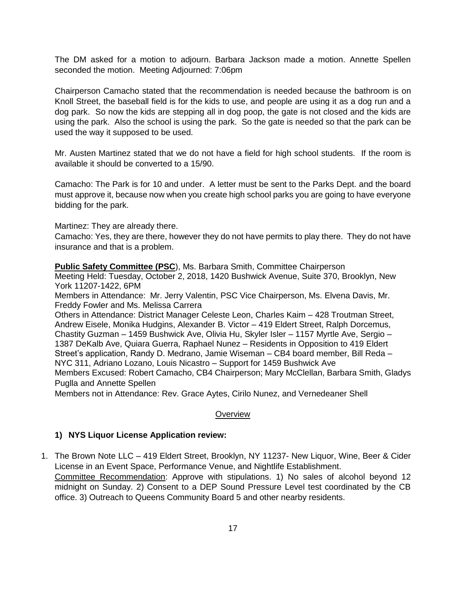The DM asked for a motion to adjourn. Barbara Jackson made a motion. Annette Spellen seconded the motion. Meeting Adjourned: 7:06pm

Chairperson Camacho stated that the recommendation is needed because the bathroom is on Knoll Street, the baseball field is for the kids to use, and people are using it as a dog run and a dog park. So now the kids are stepping all in dog poop, the gate is not closed and the kids are using the park. Also the school is using the park. So the gate is needed so that the park can be used the way it supposed to be used.

Mr. Austen Martinez stated that we do not have a field for high school students. If the room is available it should be converted to a 15/90.

Camacho: The Park is for 10 and under. A letter must be sent to the Parks Dept. and the board must approve it, because now when you create high school parks you are going to have everyone bidding for the park.

Martinez: They are already there.

Camacho: Yes, they are there, however they do not have permits to play there. They do not have insurance and that is a problem.

**Public Safety Committee (PSC**), Ms. Barbara Smith, Committee Chairperson

Meeting Held: Tuesday, October 2, 2018, 1420 Bushwick Avenue, Suite 370, Brooklyn, New York 11207-1422, 6PM

Members in Attendance: Mr. Jerry Valentin, PSC Vice Chairperson, Ms. Elvena Davis, Mr. Freddy Fowler and Ms. Melissa Carrera

Others in Attendance: District Manager Celeste Leon, Charles Kaim – 428 Troutman Street, Andrew Eisele, Monika Hudgins, Alexander B. Victor – 419 Eldert Street, Ralph Dorcemus, Chastity Guzman – 1459 Bushwick Ave, Olivia Hu, Skyler Isler – 1157 Myrtle Ave, Sergio – 1387 DeKalb Ave, Quiara Guerra, Raphael Nunez – Residents in Opposition to 419 Eldert Street's application, Randy D. Medrano, Jamie Wiseman – CB4 board member, Bill Reda – NYC 311, Adriano Lozano, Louis Nicastro – Support for 1459 Bushwick Ave Members Excused: Robert Camacho, CB4 Chairperson; Mary McClellan, Barbara Smith, Gladys

Puglla and Annette Spellen Members not in Attendance: Rev. Grace Aytes, Cirilo Nunez, and Vernedeaner Shell

### **Overview**

### **1) NYS Liquor License Application review:**

1. The Brown Note LLC – 419 Eldert Street, Brooklyn, NY 11237- New Liquor, Wine, Beer & Cider License in an Event Space, Performance Venue, and Nightlife Establishment. Committee Recommendation: Approve with stipulations. 1) No sales of alcohol beyond 12

midnight on Sunday. 2) Consent to a DEP Sound Pressure Level test coordinated by the CB office. 3) Outreach to Queens Community Board 5 and other nearby residents.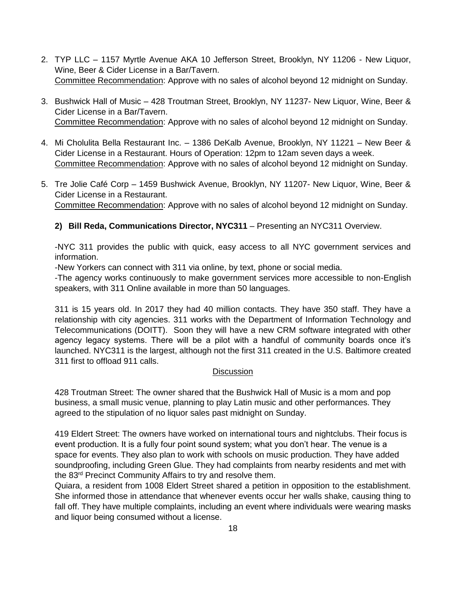- 2. TYP LLC 1157 Myrtle Avenue AKA 10 Jefferson Street, Brooklyn, NY 11206 New Liquor, Wine, Beer & Cider License in a Bar/Tavern. Committee Recommendation: Approve with no sales of alcohol beyond 12 midnight on Sunday.
- 3. Bushwick Hall of Music 428 Troutman Street, Brooklyn, NY 11237- New Liquor, Wine, Beer & Cider License in a Bar/Tavern. Committee Recommendation: Approve with no sales of alcohol beyond 12 midnight on Sunday.
- 4. Mi Cholulita Bella Restaurant Inc. 1386 DeKalb Avenue, Brooklyn, NY 11221 New Beer & Cider License in a Restaurant. Hours of Operation: 12pm to 12am seven days a week. Committee Recommendation: Approve with no sales of alcohol beyond 12 midnight on Sunday.
- 5. Tre Jolie Café Corp 1459 Bushwick Avenue, Brooklyn, NY 11207- New Liquor, Wine, Beer & Cider License in a Restaurant. Committee Recommendation: Approve with no sales of alcohol beyond 12 midnight on Sunday.

# **2) Bill Reda, Communications Director, NYC311** – Presenting an NYC311 Overview.

-NYC 311 provides the public with quick, easy access to all NYC government services and information.

-New Yorkers can connect with 311 via online, by text, phone or social media.

-The agency works continuously to make government services more accessible to non-English speakers, with 311 Online available in more than 50 languages.

311 is 15 years old. In 2017 they had 40 million contacts. They have 350 staff. They have a relationship with city agencies. 311 works with the Department of Information Technology and Telecommunications (DOITT). Soon they will have a new CRM software integrated with other agency legacy systems. There will be a pilot with a handful of community boards once it's launched. NYC311 is the largest, although not the first 311 created in the U.S. Baltimore created 311 first to offload 911 calls.

# **Discussion**

428 Troutman Street: The owner shared that the Bushwick Hall of Music is a mom and pop business, a small music venue, planning to play Latin music and other performances. They agreed to the stipulation of no liquor sales past midnight on Sunday.

419 Eldert Street: The owners have worked on international tours and nightclubs. Their focus is event production. It is a fully four point sound system; what you don't hear. The venue is a space for events. They also plan to work with schools on music production. They have added soundproofing, including Green Glue. They had complaints from nearby residents and met with the 83<sup>rd</sup> Precinct Community Affairs to try and resolve them.

Quiara, a resident from 1008 Eldert Street shared a petition in opposition to the establishment. She informed those in attendance that whenever events occur her walls shake, causing thing to fall off. They have multiple complaints, including an event where individuals were wearing masks and liquor being consumed without a license.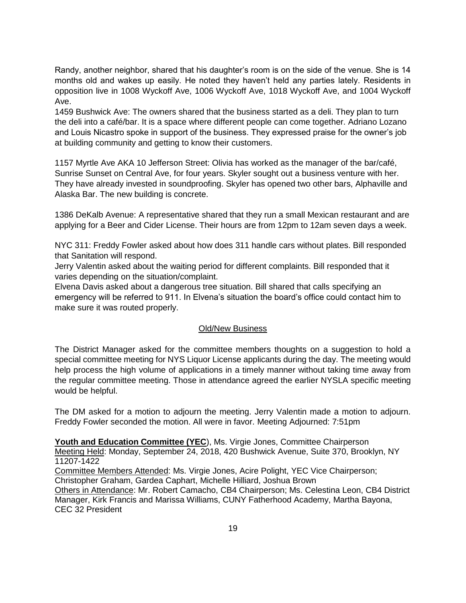Randy, another neighbor, shared that his daughter's room is on the side of the venue. She is 14 months old and wakes up easily. He noted they haven't held any parties lately. Residents in opposition live in 1008 Wyckoff Ave, 1006 Wyckoff Ave, 1018 Wyckoff Ave, and 1004 Wyckoff Ave.

1459 Bushwick Ave: The owners shared that the business started as a deli. They plan to turn the deli into a café/bar. It is a space where different people can come together. Adriano Lozano and Louis Nicastro spoke in support of the business. They expressed praise for the owner's job at building community and getting to know their customers.

1157 Myrtle Ave AKA 10 Jefferson Street: Olivia has worked as the manager of the bar/café, Sunrise Sunset on Central Ave, for four years. Skyler sought out a business venture with her. They have already invested in soundproofing. Skyler has opened two other bars, Alphaville and Alaska Bar. The new building is concrete.

1386 DeKalb Avenue: A representative shared that they run a small Mexican restaurant and are applying for a Beer and Cider License. Their hours are from 12pm to 12am seven days a week.

NYC 311: Freddy Fowler asked about how does 311 handle cars without plates. Bill responded that Sanitation will respond.

Jerry Valentin asked about the waiting period for different complaints. Bill responded that it varies depending on the situation/complaint.

Elvena Davis asked about a dangerous tree situation. Bill shared that calls specifying an emergency will be referred to 911. In Elvena's situation the board's office could contact him to make sure it was routed properly.

### Old/New Business

The District Manager asked for the committee members thoughts on a suggestion to hold a special committee meeting for NYS Liquor License applicants during the day. The meeting would help process the high volume of applications in a timely manner without taking time away from the regular committee meeting. Those in attendance agreed the earlier NYSLA specific meeting would be helpful.

The DM asked for a motion to adjourn the meeting. Jerry Valentin made a motion to adjourn. Freddy Fowler seconded the motion. All were in favor. Meeting Adjourned: 7:51pm

**Youth and Education Committee (YEC**), Ms. Virgie Jones, Committee Chairperson Meeting Held: Monday, September 24, 2018, 420 Bushwick Avenue, Suite 370, Brooklyn, NY 11207-1422

Committee Members Attended: Ms. Virgie Jones, Acire Polight, YEC Vice Chairperson; Christopher Graham, Gardea Caphart, Michelle Hilliard, Joshua Brown

Others in Attendance: Mr. Robert Camacho, CB4 Chairperson; Ms. Celestina Leon, CB4 District Manager, Kirk Francis and Marissa Williams, CUNY Fatherhood Academy, Martha Bayona, CEC 32 President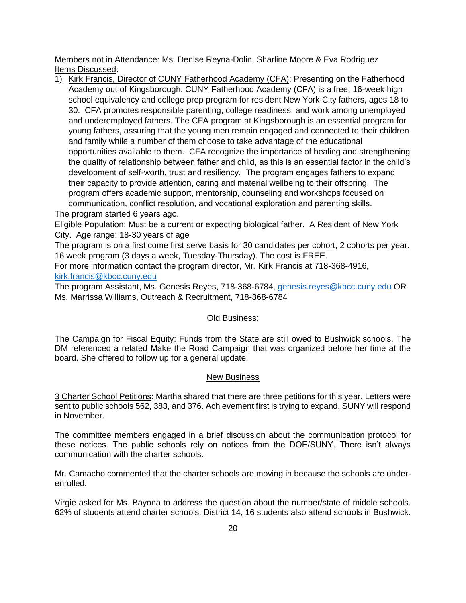Members not in Attendance: Ms. Denise Reyna-Dolin, Sharline Moore & Eva Rodriguez Items Discussed:

1) Kirk Francis, Director of CUNY Fatherhood Academy (CFA): Presenting on the Fatherhood Academy out of Kingsborough. CUNY Fatherhood Academy (CFA) is a free, 16-week high school equivalency and college prep program for resident New York City fathers, ages 18 to 30. CFA promotes responsible parenting, college readiness, and work among unemployed and underemployed fathers. The CFA program at Kingsborough is an essential program for young fathers, assuring that the young men remain engaged and connected to their children and family while a number of them choose to take advantage of the educational opportunities available to them. CFA recognize the importance of healing and strengthening the quality of relationship between father and child, as this is an essential factor in the child's development of self-worth, trust and resiliency. The program engages fathers to expand their capacity to provide attention, caring and material wellbeing to their offspring. The program offers academic support, mentorship, counseling and workshops focused on communication, conflict resolution, and vocational exploration and parenting skills.

The program started 6 years ago.

Eligible Population: Must be a current or expecting biological father. A Resident of New York City. Age range: 18-30 years of age

The program is on a first come first serve basis for 30 candidates per cohort, 2 cohorts per year. 16 week program (3 days a week, Tuesday-Thursday). The cost is FREE.

For more information contact the program director, Mr. Kirk Francis at 718-368-4916, [kirk.francis@kbcc.cuny.edu](mailto:kirk.francis@kbcc.cuny.edu)

The program Assistant, Ms. Genesis Reyes, 718-368-6784, [genesis.reyes@kbcc.cuny.edu](mailto:genesis.reyes@kbcc.cuny.edu) OR Ms. Marrissa Williams, Outreach & Recruitment, 718-368-6784

### Old Business:

The Campaign for Fiscal Equity: Funds from the State are still owed to Bushwick schools. The DM referenced a related Make the Road Campaign that was organized before her time at the board. She offered to follow up for a general update.

### New Business

3 Charter School Petitions: Martha shared that there are three petitions for this year. Letters were sent to public schools 562, 383, and 376. Achievement first is trying to expand. SUNY will respond in November.

The committee members engaged in a brief discussion about the communication protocol for these notices. The public schools rely on notices from the DOE/SUNY. There isn't always communication with the charter schools.

Mr. Camacho commented that the charter schools are moving in because the schools are underenrolled.

Virgie asked for Ms. Bayona to address the question about the number/state of middle schools. 62% of students attend charter schools. District 14, 16 students also attend schools in Bushwick.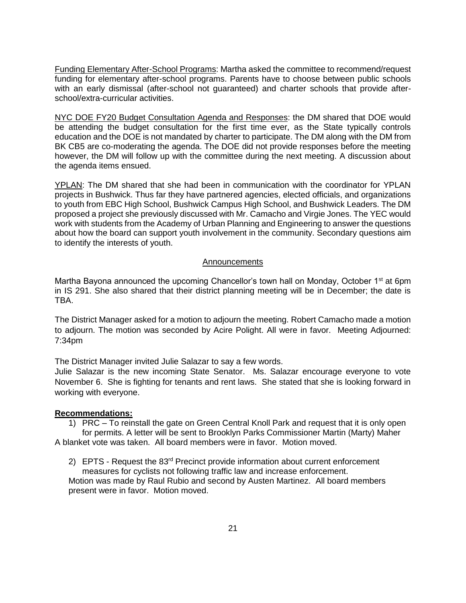Funding Elementary After-School Programs: Martha asked the committee to recommend/request funding for elementary after-school programs. Parents have to choose between public schools with an early dismissal (after-school not guaranteed) and charter schools that provide afterschool/extra-curricular activities.

NYC DOE FY20 Budget Consultation Agenda and Responses: the DM shared that DOE would be attending the budget consultation for the first time ever, as the State typically controls education and the DOE is not mandated by charter to participate. The DM along with the DM from BK CB5 are co-moderating the agenda. The DOE did not provide responses before the meeting however, the DM will follow up with the committee during the next meeting. A discussion about the agenda items ensued.

YPLAN: The DM shared that she had been in communication with the coordinator for YPLAN projects in Bushwick. Thus far they have partnered agencies, elected officials, and organizations to youth from EBC High School, Bushwick Campus High School, and Bushwick Leaders. The DM proposed a project she previously discussed with Mr. Camacho and Virgie Jones. The YEC would work with students from the Academy of Urban Planning and Engineering to answer the questions about how the board can support youth involvement in the community. Secondary questions aim to identify the interests of youth.

#### **Announcements**

Martha Bayona announced the upcoming Chancellor's town hall on Monday, October  $1<sup>st</sup>$  at 6pm in IS 291. She also shared that their district planning meeting will be in December; the date is TBA.

The District Manager asked for a motion to adjourn the meeting. Robert Camacho made a motion to adjourn. The motion was seconded by Acire Polight. All were in favor. Meeting Adjourned: 7:34pm

The District Manager invited Julie Salazar to say a few words.

Julie Salazar is the new incoming State Senator. Ms. Salazar encourage everyone to vote November 6. She is fighting for tenants and rent laws. She stated that she is looking forward in working with everyone.

### **Recommendations:**

1) PRC – To reinstall the gate on Green Central Knoll Park and request that it is only open for permits. A letter will be sent to Brooklyn Parks Commissioner Martin (Marty) Maher A blanket vote was taken. All board members were in favor. Motion moved.

2) EPTS - Request the 83<sup>rd</sup> Precinct provide information about current enforcement

measures for cyclists not following traffic law and increase enforcement. Motion was made by Raul Rubio and second by Austen Martinez. All board members present were in favor. Motion moved.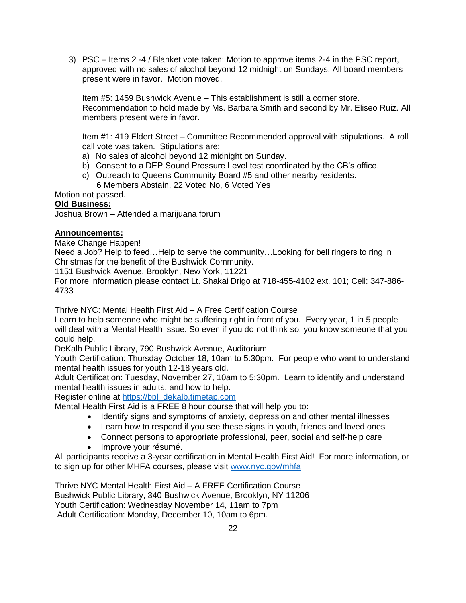3) PSC – Items 2 -4 / Blanket vote taken: Motion to approve items 2-4 in the PSC report, approved with no sales of alcohol beyond 12 midnight on Sundays. All board members present were in favor. Motion moved.

Item #5: 1459 Bushwick Avenue – This establishment is still a corner store. Recommendation to hold made by Ms. Barbara Smith and second by Mr. Eliseo Ruiz. All members present were in favor.

Item #1: 419 Eldert Street – Committee Recommended approval with stipulations. A roll call vote was taken. Stipulations are:

- a) No sales of alcohol beyond 12 midnight on Sunday.
- b) Consent to a DEP Sound Pressure Level test coordinated by the CB's office.
- c) Outreach to Queens Community Board #5 and other nearby residents. 6 Members Abstain, 22 Voted No, 6 Voted Yes

Motion not passed.

## **Old Business:**

Joshua Brown – Attended a marijuana forum

## **Announcements:**

Make Change Happen!

Need a Job? Help to feed…Help to serve the community…Looking for bell ringers to ring in Christmas for the benefit of the Bushwick Community.

1151 Bushwick Avenue, Brooklyn, New York, 11221

For more information please contact Lt. Shakai Drigo at 718-455-4102 ext. 101; Cell: 347-886- 4733

Thrive NYC: Mental Health First Aid – A Free Certification Course

Learn to help someone who might be suffering right in front of you. Every year, 1 in 5 people will deal with a Mental Health issue. So even if you do not think so, you know someone that you could help.

DeKalb Public Library, 790 Bushwick Avenue, Auditorium

Youth Certification: Thursday October 18, 10am to 5:30pm. For people who want to understand mental health issues for youth 12-18 years old.

Adult Certification: Tuesday, November 27, 10am to 5:30pm. Learn to identify and understand mental health issues in adults, and how to help.

Register online at [https://bpl\\_dekalb.timetap.com](https://bpl_dekalb.timetap.com/)

Mental Health First Aid is a FREE 8 hour course that will help you to:

- Identify signs and symptoms of anxiety, depression and other mental illnesses
- Learn how to respond if you see these signs in youth, friends and loved ones
- Connect persons to appropriate professional, peer, social and self-help care
- Improve your résumé.

All participants receive a 3-year certification in Mental Health First Aid! For more information, or to sign up for other MHFA courses, please visit [www.nyc.gov/mhfa](http://www.nyc.gov/mhfa)

Thrive NYC Mental Health First Aid – A FREE Certification Course Bushwick Public Library, 340 Bushwick Avenue, Brooklyn, NY 11206 Youth Certification: Wednesday November 14, 11am to 7pm Adult Certification: Monday, December 10, 10am to 6pm.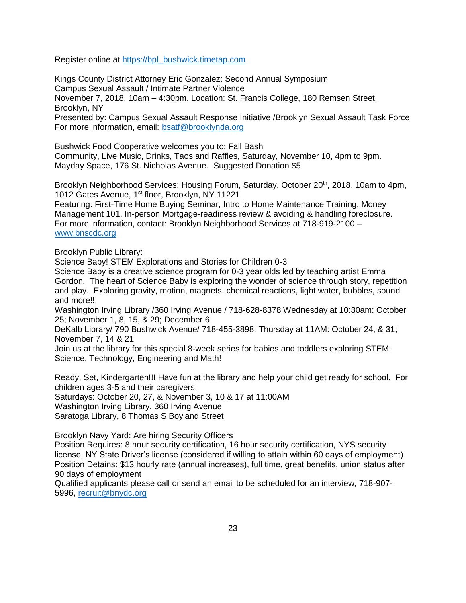Register online at [https://bpl\\_bushwick.timetap.com](https://bpl_bushwick.timetap.com/)

Kings County District Attorney Eric Gonzalez: Second Annual Symposium Campus Sexual Assault / Intimate Partner Violence November 7, 2018, 10am – 4:30pm. Location: St. Francis College, 180 Remsen Street, Brooklyn, NY Presented by: Campus Sexual Assault Response Initiative /Brooklyn Sexual Assault Task Force For more information, email: [bsatf@brooklynda.org](mailto:bsatf@brooklynda.org)

Bushwick Food Cooperative welcomes you to: Fall Bash Community, Live Music, Drinks, Taos and Raffles, Saturday, November 10, 4pm to 9pm. Mayday Space, 176 St. Nicholas Avenue. Suggested Donation \$5

Brooklyn Neighborhood Services: Housing Forum, Saturday, October 20<sup>th</sup>, 2018, 10am to 4pm, 1012 Gates Avenue, 1<sup>st</sup> floor, Brooklyn, NY 11221

Featuring: First-Time Home Buying Seminar, Intro to Home Maintenance Training, Money Management 101, In-person Mortgage-readiness review & avoiding & handling foreclosure. For more information, contact: Brooklyn Neighborhood Services at 718-919-2100 – [www.bnscdc.org](http://www.bnscdc.org/)

Brooklyn Public Library:

Science Baby! STEM Explorations and Stories for Children 0-3

Science Baby is a creative science program for 0-3 year olds led by teaching artist Emma Gordon. The heart of Science Baby is exploring the wonder of science through story, repetition and play. Exploring gravity, motion, magnets, chemical reactions, light water, bubbles, sound and more!!!

Washington Irving Library /360 Irving Avenue / 718-628-8378 Wednesday at 10:30am: October 25; November 1, 8, 15, & 29; December 6

DeKalb Library/ 790 Bushwick Avenue/ 718-455-3898: Thursday at 11AM: October 24, & 31; November 7, 14 & 21

Join us at the library for this special 8-week series for babies and toddlers exploring STEM: Science, Technology, Engineering and Math!

Ready, Set, Kindergarten!!! Have fun at the library and help your child get ready for school. For children ages 3-5 and their caregivers.

Saturdays: October 20, 27, & November 3, 10 & 17 at 11:00AM Washington Irving Library, 360 Irving Avenue

Saratoga Library, 8 Thomas S Boyland Street

Brooklyn Navy Yard: Are hiring Security Officers

Position Requires: 8 hour security certification, 16 hour security certification, NYS security license, NY State Driver's license (considered if willing to attain within 60 days of employment) Position Detains: \$13 hourly rate (annual increases), full time, great benefits, union status after 90 days of employment

Qualified applicants please call or send an email to be scheduled for an interview, 718-907- 5996, [recruit@bnydc.org](mailto:recruit@bnydc.org)